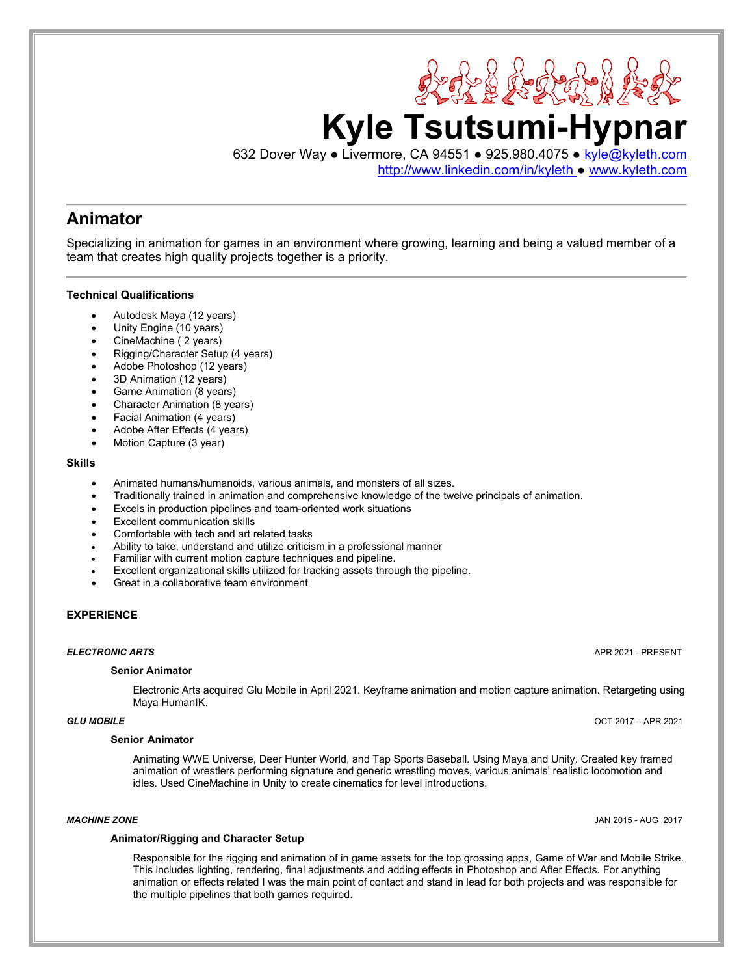

[http://www.linkedin.com/in/kyleth](http://www.linkedin.com/in/kyleth%C2%A0) ● www.kyleth.com

23 23 23 24 22

# **Animator**

Specializing in animation for games in an environment where growing, learning and being a valued member of a team that creates high quality projects together is a priority.

### **Technical Qualifications**

- Autodesk Maya (12 years)
- Unity Engine (10 years)
- CineMachine ( 2 years)
- Rigging/Character Setup (4 years)
- Adobe Photoshop (12 years)
- 3D Animation (12 years)
- Game Animation (8 years)
- Character Animation (8 years)
- Facial Animation (4 years)
- Adobe After Effects (4 years)
- Motion Capture (3 year)

### **Skills**

- Animated humans/humanoids, various animals, and monsters of all sizes.
- Traditionally trained in animation and comprehensive knowledge of the twelve principals of animation.
- Excels in production pipelines and team-oriented work situations
- **Excellent communication skills**
- Comfortable with tech and art related tasks
- Ability to take, understand and utilize criticism in a professional manner
- Familiar with current motion capture techniques and pipeline.
- Excellent organizational skills utilized for tracking assets through the pipeline.
- Great in a collaborative team environment

### **EXPERIENCE**

### **Senior Animator**

Electronic Arts acquired Glu Mobile in April 2021. Keyframe animation and motion capture animation. Retargeting using Maya HumanIK.

### **Senior Animator**

Animating WWE Universe, Deer Hunter World, and Tap Sports Baseball. Using Maya and Unity. Created key framed animation of wrestlers performing signature and generic wrestling moves, various animals' realistic locomotion and idles. Used CineMachine in Unity to create cinematics for level introductions.

*MACHINE ZONE* JAN 2015 - AUG 2017

#### **Animator/Rigging and Character Setup**

Responsible for the rigging and animation of in game assets for the top grossing apps, Game of War and Mobile Strike. This includes lighting, rendering, final adjustments and adding effects in Photoshop and After Effects. For anything animation or effects related I was the main point of contact and stand in lead for both projects and was responsible for the multiple pipelines that both games required.

*ELECTRONIC ARTS* APR 2021 - PRESENT

*GLU MOBILE* OCT 2017 – APR 2021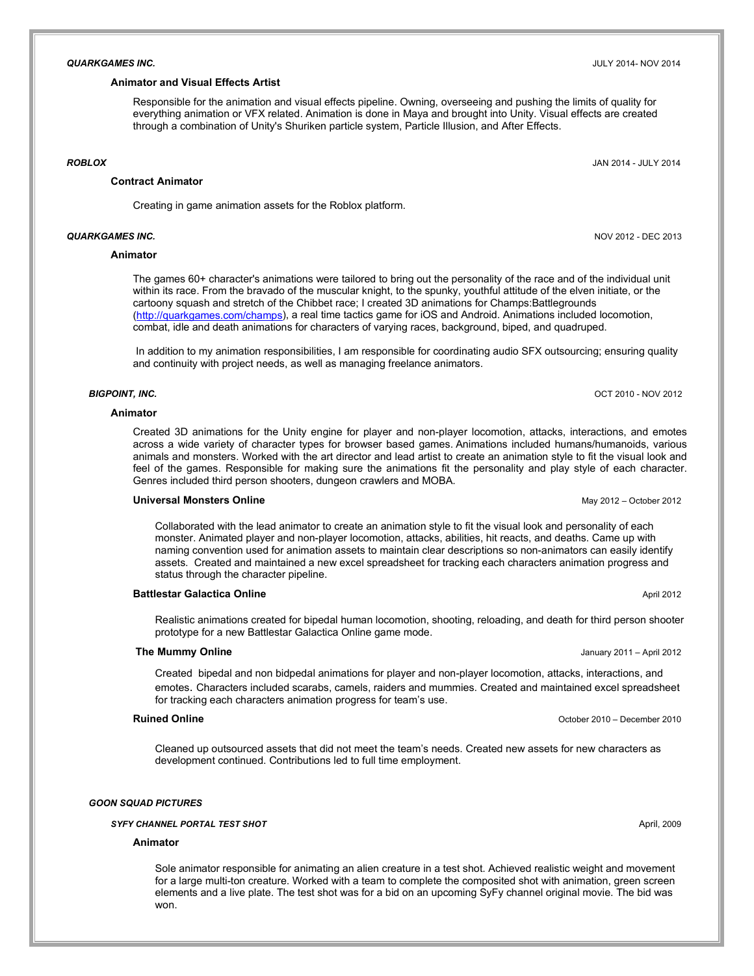#### **Animator and Visual Effects Artist**

Responsible for the animation and visual effects pipeline. Owning, overseeing and pushing the limits of quality for everything animation or VFX related. Animation is done in Maya and brought into Unity. Visual effects are created through a combination of Unity's Shuriken particle system, Particle Illusion, and After Effects.

#### *ROBLOX* JAN 2014 - JULY 2014

#### **Contract Animator**

Creating in game animation assets for the Roblox platform.

#### **Animator**

The games 60+ character's animations were tailored to bring out the personality of the race and of the individual unit within its race. From the bravado of the muscular knight, to the spunky, youthful attitude of the elven initiate, or the cartoony squash and stretch of the Chibbet race; I created 3D animations for Champs:Battlegrounds ([http://quarkgames.com/champs\)](http://quarkgames.com/champs), a real time tactics game for iOS and Android. Animations included locomotion, combat, idle and death animations for characters of varying races, background, biped, and quadruped.

In addition to my animation responsibilities, I am responsible for coordinating audio SFX outsourcing; ensuring quality and continuity with project needs, as well as managing freelance animators.

#### *BIGPOINT, INC.*OCT 2010 - NOV 2012

#### **Animator**

Created 3D animations for the Unity engine for player and non-player locomotion, attacks, interactions, and emotes across a wide variety of character types for browser based games. Animations included humans/humanoids, various animals and monsters. Worked with the art director and lead artist to create an animation style to fit the visual look and feel of the games. Responsible for making sure the animations fit the personality and play style of each character. Genres included third person shooters, dungeon crawlers and MOBA.

#### **Universal Monsters Online** May 2012 – October 2012

Collaborated with the lead animator to create an animation style to fit the visual look and personality of each monster. Animated player and non-player locomotion, attacks, abilities, hit reacts, and deaths. Came up with naming convention used for animation assets to maintain clear descriptions so non-animators can easily identify assets. Created and maintained a new excel spreadsheet for tracking each characters animation progress and status through the character pipeline.

#### **Battlestar Galactica Online** April 2012 **April 2012**

Realistic animations created for bipedal human locomotion, shooting, reloading, and death for third person shooter prototype for a new Battlestar Galactica Online game mode.

#### **The Mummy Online January 2011** – April 2012

Created bipedal and non bidpedal animations for player and non-player locomotion, attacks, interactions, and emotes. Characters included scarabs, camels, raiders and mummies. Created and maintained excel spreadsheet for tracking each characters animation progress for team's use.

Cleaned up outsourced assets that did not meet the team's needs. Created new assets for new characters as development continued. Contributions led to full time employment.

#### *GOON SQUAD PICTURES*

#### **SYFY CHANNEL PORTAL TEST SHOT** April, 2009

#### **Animator**

Sole animator responsible for animating an alien creature in a test shot. Achieved realistic weight and movement for a large multi-ton creature. Worked with a team to complete the composited shot with animation, green screen elements and a live plate. The test shot was for a bid on an upcoming SyFy channel original movie. The bid was won.

*QUARKGAMES INC.* NOV 2012 - DEC 2013

**Ruined Online Community Community Community Community Community Community Community Community Community Community Community Community Community Community Community Community Community Community Community Community Commu** 

#### *QUARKGAMES INC.* JULY 2014- NOV 2014